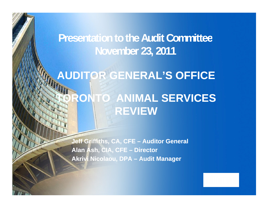**Presentation to the Audit Committee November 23, 2011**

### **AUDITOR GENERAL'S OFFICE**

### **TORONTO ANIMAL SERVICES REVIEW**

**Jeff Griffiths, CA, CFE – Auditor General Alan Ash, CIA, CFE – Director Akrivi Nicolaou, DPA – Audit Manager**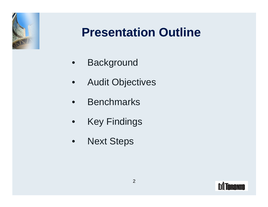

### **Presentation Outline**

- Background
- Audit Objectives
- Benchmarks
- Key Findings
- Next Steps

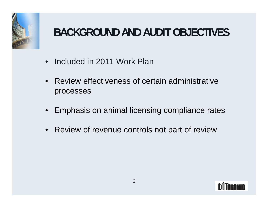

### BACKGROUND AND AUDIT OBJECTIVES

- Included in 2011 Work Plan
- Review effectiveness of certain administrative processes
- Emphasis on animal licensing compliance rates
- Review of revenue controls not part of review

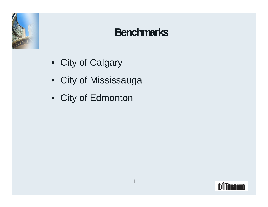

### **Benchmarks**

- City of Calgary
- City of Mississauga
- City of Edmonton

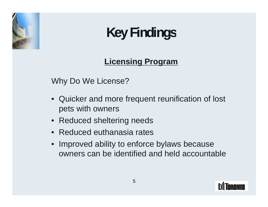

#### **Licensing Program**

Why Do We License?

- Quicker and more frequent reunification of lost pets with owners
- Reduced sheltering needs
- Reduced euthanasia rates
- Improved ability to enforce bylaws because owners can be identified and held accountable

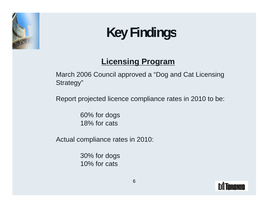

#### **Licensing Program**

March 2006 Council approved a "Dog and Cat Licensing Strategy"

Report projected licence compliance rates in 2010 to be:

60% for dogs 18% for cats

Actual compliance rates in 2010:

30% for dogs 10% for cats

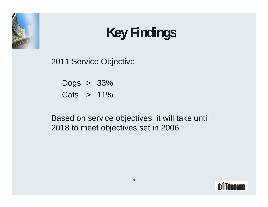

2011 Service Objective

| 33%<br>Dogs |  |  |
|-------------|--|--|
| Cats<br>11% |  |  |

Based on service objectives, it will take until 2018 to meet objectives set in 2006

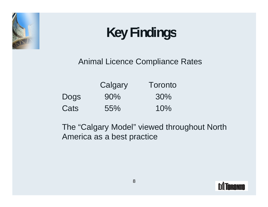

Animal Licence Compliance Rates

|      | Toronto<br>Calgary |  |
|------|--------------------|--|
| Dogs | 90%<br>30%         |  |
| Cats | 10%<br>55%         |  |

The "Calgary Model" viewed throughout North America as a best practice

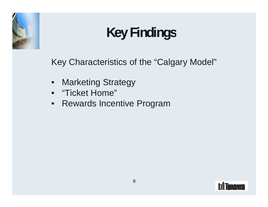

Key Characteristics of the "Calgary Model"

- Marketing Strategy
- "Ticket Home"
- Rewards Incentive Program

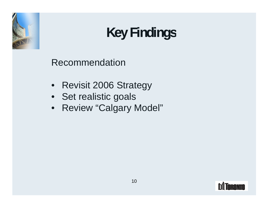

Recommendation

- Revisit 2006 Strategy
- Set realistic goals
- Review "Calgary Model"

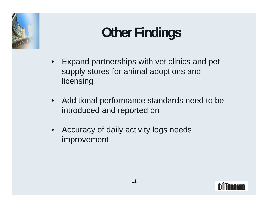

## **Other Findings**

- Expand partnerships with vet clinics and pet supply stores for animal adoptions and licensing
- Additional performance standards need to be introduced and reported on
- Accuracy of daily activity logs needs improvement

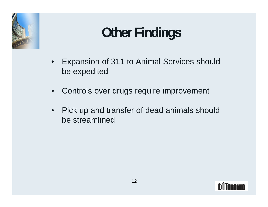

## **Other Findings**

- Expansion of 311 to Animal Services should be expedited
- Controls over drugs require improvement
- Pick up and transfer of dead animals should be streamlined